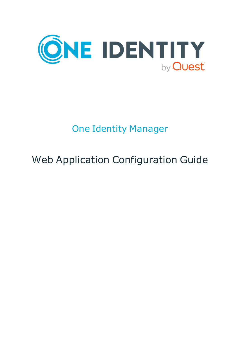

# One Identity Manager

# Web Application Configuration Guide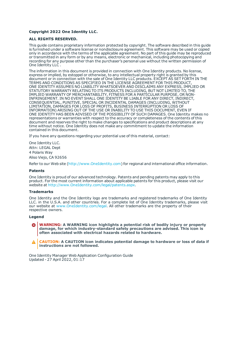#### **Copyright 2022 One Identity LLC.**

#### **ALL RIGHTS RESERVED.**

This guide contains proprietary information protected by copyright. The software described in this guide is furnished under a software license or nondisclosure agreement. This software may be used or copied only in accordance with the terms of the applicable agreement. No part of this guide may be reproduced or transmitted in any form or by any means, electronic or mechanical, including photocopying and recording for any purpose other than the purchaser's personal use without the written permission of One Identity LLC .

The information in this document is provided in connection with One Identity products. No license, express or implied, by estoppel or otherwise, to any intellectual property right is granted by this document or in connection with the sale of One Identity LLC products. EXCEPT AS SET FORTH IN THE TERMS AND CONDITIONS AS SPECIFIED IN THE LICENSE AGREEMENT FOR THIS PRODUCT, ONE IDENTITY ASSUMES NO LIABILITY WHATSOEVER AND DISCLAIMS ANY EXPRESS, IMPLIED OR STATUTORY WARRANTY RELATING TO ITS PRODUCTS INCLUDING, BUT NOT LIMITED TO, THE IMPLIED WARRANTY OF MERCHANTABILITY, FITNESS FOR A PARTICULAR PURPOSE, OR NON-INFRINGEMENT. IN NO EVENT SHALL ONE IDENTITY BE LIABLE FOR ANY DIRECT, INDIRECT, CONSEQUENTIAL, PUNITIVE, SPECIAL OR INCIDENTAL DAMAGES (INCLUDING, WITHOUT LIMITATION, DAMAGES FOR LOSS OF PROFITS, BUSINESS INTERRUPTION OR LOSS OF INFORMATION) ARISING OUT OF THE USE OR INABILITY TO USE THIS DOCUMENT, EVEN IF ONE IDENTITY HAS BEEN ADVISED OF THE POSSIBILITY OF SUCH DAMAGES. One Identity makes no representations or warranties with respect to the accuracy or completeness of the contents of this document and reserves the right to make changes to specifications and product descriptions at any time without notice. One Identity does not make any commitment to update the information contained in this document.

If you have any questions regarding your potential use of this material, contact:

One Identity LLC. Attn: LEGAL Dept 4 Polaris Way Aliso Viejo, CA 92656

Refer to our Web site ([http://www.OneIdentity.com](http://www.oneidentity.com/)) for regional and international office information.

#### **Patents**

One Identity is proud of our advanced technology. Patents and pending patents may apply to this product. For the most current information about applicable patents for this product, please visit our website at [http://www.OneIdentity.com/legal/patents.aspx](http://www.oneidentity.com/legal/patents.aspx).

#### **Trademarks**

One Identity and the One Identity logo are trademarks and registered trademarks of One Identity LLC. in the U.S.A. and other countries. For a complete list of One Identity trademarks, please visit our website at [www.OneIdentity.com/legal](http://www.oneidentity.com/legal). All other trademarks are the property of their respective owners.

#### **Legend**

**WARNING: A WARNING icon highlights a potential risk of bodily injury or property damage, for which industry-standard safety precautions are advised. This icon is often associated with electrical hazards related to hardware.**

**CAUTION: A CAUTION icon indicates potential damage to hardware or loss of data if** A **instructions are not followed.**

One Identity Manager Web Application Configuration Guide Updated - 27 April 2022, 01:17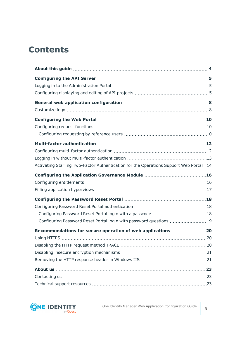## **Contents**

| Activating Starling Two-Factor Authentication for the Operations Support Web Portal 14 |  |
|----------------------------------------------------------------------------------------|--|
|                                                                                        |  |
|                                                                                        |  |
|                                                                                        |  |
|                                                                                        |  |
|                                                                                        |  |
|                                                                                        |  |
| Configuring Password Reset Portal login with password questions  19                    |  |
| Recommendations for secure operation of web applications 20                            |  |
|                                                                                        |  |
|                                                                                        |  |
|                                                                                        |  |
|                                                                                        |  |
|                                                                                        |  |
|                                                                                        |  |
|                                                                                        |  |

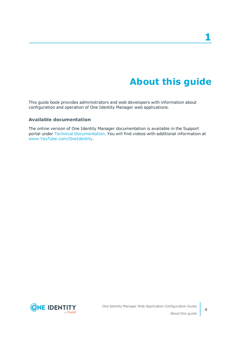# **About this guide**

<span id="page-3-0"></span>This guide book provides administrators and web developers with information about configuration and operation of One Identity Manager web applications.

### **Available documentation**

The online version of One Identity Manager documentation is available in the Support portal under Technical [Documentation.](https://support.oneidentity.com/identity-manager/technical-documents) You will find videos with additional information at [www.YouTube.com/OneIdentity.](http://www.youtube.com/OneIdentity)

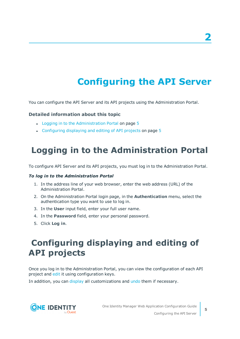# **Configuring the API Server**

<span id="page-4-0"></span>You can configure the API Server and its API projects using the Administration Portal.

### **Detailed information about this topic**

- $\cdot$  Logging in to the [Administration](#page-4-1) Portal on page 5
- [Configuring](#page-4-2) displaying and editing of API projects on page 5

## <span id="page-4-1"></span>**Logging in to the Administration Portal**

To configure API Server and its API projects, you must log in to the Administration Portal.

#### *To log in to the Administration Portal*

- 1. In the address line of your web browser, enter the web address (URL) of the Administration Portal.
- 2. On the Administration Portal login page, in the **Authentication** menu, select the authentication type you want to use to log in.
- 3. In the **User** input field, enter your full user name.
- 4. In the **Password** field, enter your personal password.
- <span id="page-4-2"></span>5. Click **Log in**.

## **Configuring displaying and editing of API projects**

Once you log in to the Administration Portal, you can view the configuration of each API project and [edit](#page-5-0) it using configuration keys.

In addition, you can [display](#page-5-1) all customizations and [undo](#page-5-2) them if necessary.

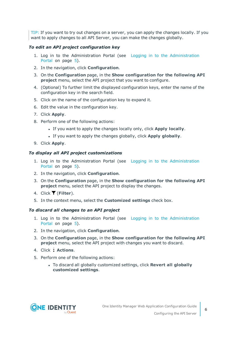TIP: If you want to try out changes on a server, you can apply the changes locally. If you want to apply changes to all API Server, you can make the changes globally.

### <span id="page-5-0"></span>*To edit an API project configuration key*

- 1. Log in to the Administration Portal (see Logging in to the [Administration](#page-4-1) [Portal](#page-4-1) on page 5).
- 2. In the navigation, click **Configuration**.
- 3. On the **Configuration** page, in the **Show configuration for the following API project** menu, select the API project that you want to configure.
- 4. (Optional) To further limit the displayed configuration keys, enter the name of the configuration key in the search field.
- 5. Click on the name of the configuration key to expand it.
- 6. Edit the value in the configuration key.
- 7. Click **Apply**.
- 8. Perform one of the following actions:
	- <sup>l</sup> If you want to apply the changes locally only, click **Apply locally**.
	- <sup>l</sup> If you want to apply the changes globally, click **Apply globally**.
- 9. Click **Apply**.

#### <span id="page-5-1"></span>*To display all API project customizations*

- 1. Log in to the Administration Portal (see Logging in to the [Administration](#page-4-1) [Portal](#page-4-1) on page 5).
- 2. In the navigation, click **Configuration**.
- 3. On the **Configuration** page, in the **Show configuration for the following API project** menu, select the API project to display the changes.
- 4. Click (**Filter**).
- 5. In the context menu, select the **Customized settings** check box.

#### <span id="page-5-2"></span>*To discard all changes to an API project*

- 1. Log in to the Administration Portal (see Logging in to the [Administration](#page-4-1) [Portal](#page-4-1) on page 5).
- 2. In the navigation, click **Configuration**.
- 3. On the **Configuration** page, in the **Show configuration for the following API project** menu, select the API project with changes you want to discard.
- 4. Click **Actions**.
- 5. Perform one of the following actions:
	- <sup>l</sup> To discard all globally customized settings, click **Revert all globally customized settings**.

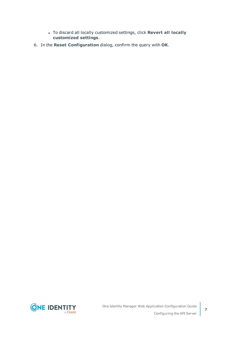- <sup>l</sup> To discard all locally customized settings, click **Revert all locally customized settings**.
- 6. In the **Reset Configuration** dialog, confirm the query with **OK**.

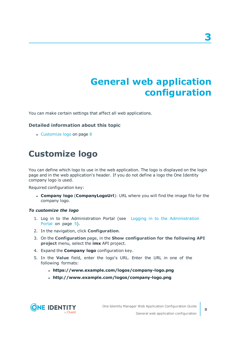# **General web application configuration**

<span id="page-7-0"></span>You can make certain settings that affect all web applications.

### **Detailed information about this topic**

• [Customize](#page-7-1) logo on page 8

## <span id="page-7-1"></span>**Customize logo**

You can define which logo to use in the web application. The logo is displayed on the login page and in the web application's header. If you do not define a logo the One Identity company logo is used.

Required configuration key:

<sup>l</sup> **Company logo** (**CompanyLogoUrl**): URL where you will find the image file for the company logo.

#### *To customize the logo*

- 1. Log in to the Administration Portal (see Logging in to the [Administration](#page-4-1) [Portal](#page-4-1) on page 5).
- 2. In the navigation, click **Configuration**.
- 3. On the **Configuration** page, in the **Show configuration for the following API project** menu, select the **imx** API project.
- 4. Expand the **Company logo** configuration key.
- 5. In the **Value** field, enter the logo's URL. Enter the URL in one of the following formats:
	- <sup>l</sup> **https://www.example.com/logos/company-logo.png**
	- <sup>l</sup> **http://www.example.com/logos/company-logo.png**



**3**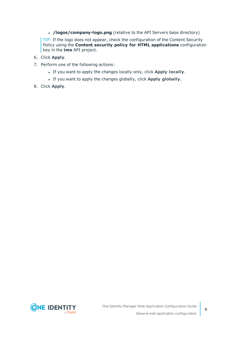• **/logos/company-logo.png** (relative to the API Servers base directory)

TIP: If the logo does not appear, check the configuration of the Content Security Policy using the **Content security policy for HTML applications** configuration key in the **imx** API project.

- 6. Click **Apply**.
- 7. Perform one of the following actions:
	- <sup>l</sup> If you want to apply the changes locally only, click **Apply locally**.
	- <sup>l</sup> If you want to apply the changes globally, click **Apply globally**.
- 8. Click **Apply**.

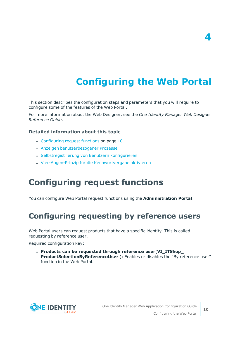# **Configuring the Web Portal**

<span id="page-9-0"></span>This section describes the configuration steps and parameters that you will require to configure some of the features of the Web Portal.

For more information about the Web Designer, see the *One Identity Manager Web Designer Reference Guide*.

### **Detailed information about this topic**

- [Configuring](#page-9-1) request functions on page 10
- **.** Anzeigen benutzerbezogener Prozesse
- Selbstregistrierung von Benutzern konfigurieren
- <span id="page-9-1"></span>• Vier-Augen-Prinzip für die Kennwortvergabe aktivieren

## **Configuring request functions**

<span id="page-9-2"></span>You can configure Web Portal request functions using the **Administration Portal**.

### **Configuring requesting by reference users**

Web Portal users can request products that have a specific identity. This is called requesting by reference user.

Required configuration key:

<sup>l</sup> **Products can be requested through reference user**(**VI\_ITShop\_ ProductSelectionByReferenceUser** ): Enables or disables the "By reference user" function in the Web Portal.



**4**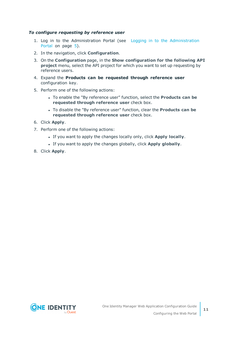#### *To configure requesting by reference user*

- 1. Log in to the Administration Portal (see Logging in to the [Administration](#page-4-1) [Portal](#page-4-1) on page 5).
- 2. In the navigation, click **Configuration**.
- 3. On the **Configuration** page, in the **Show configuration for the following API project** menu, select the API project for which you want to set up requesting by reference users.
- 4. Expand the **Products can be requested through reference user** configuration key.
- 5. Perform one of the following actions:
	- <sup>l</sup> To enable the "By reference user" function, select the **Products can be requested through reference user** check box.
	- <sup>l</sup> To disable the "By reference user" function, clear the **Products can be requested through reference user** check box.
- 6. Click **Apply**.
- 7. Perform one of the following actions:
	- <sup>l</sup> If you want to apply the changes locally only, click **Apply locally**.
	- <sup>l</sup> If you want to apply the changes globally, click **Apply globally**.
- 8. Click **Apply**.



**11**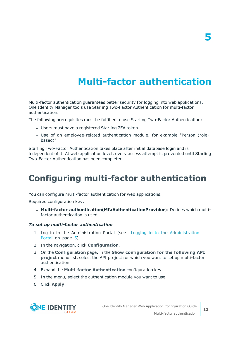# **Multi-factor authentication**

<span id="page-11-0"></span>Multi-factor authentication guarantees better security for logging into web applications. One Identity Manager tools use Starling Two-Factor Authentication for multi-factor authentication.

The following prerequisites must be fulfilled to use Starling Two-Factor Authentication:

- Users must have a registered Starling 2FA token.
- Use of an employee-related authentication module, for example "Person (rolebased)"

Starling Two-Factor Authentication takes place after initial database login and is independent of it. At web application level, every access attempt is prevented until Starling Two-Factor Authentication has been completed.

# <span id="page-11-1"></span>**Configuring multi-factor authentication**

You can configure multi-factor authentication for web applications.

Required configuration key:

<sup>l</sup> **Multi-factor authentication(MfaAuthenticationProvider**): Defines which multifactor authentication is used.

### *To set up multi-factor authentication*

- 1. Log in to the Administration Portal (see Logging in to the [Administration](#page-4-1) [Portal](#page-4-1) on page 5).
- 2. In the navigation, click **Configuration**.
- 3. On the **Configuration** page, in the **Show configuration for the following API project** menu list, select the API project for which you want to set up multi-factor authentication.
- 4. Expand the **Multi-factor Authentication** configuration key.
- 5. In the menu, select the authentication module you want to use.
- 6. Click **Apply**.

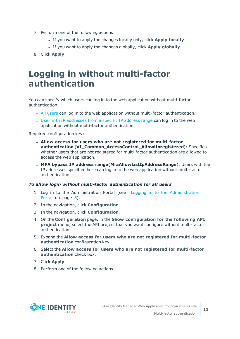- 7. Perform one of the following actions:
	- <sup>l</sup> If you want to apply the changes locally only, click **Apply locally**.
	- <sup>l</sup> If you want to apply the changes globally, click **Apply globally**.
- <span id="page-12-0"></span>8. Click **Apply**.

## **Logging in without multi-factor authentication**

You can specify which users can log in to the web application without multi-factor authentication:

- All [users](#page-12-1) can log in to the web application without multi-factor authentication.
- User with IP [addresses](#page-13-1) from a specific IP address range can log in to the web application without multi-factor authentication.

Required configuration key:

- <sup>l</sup> **Allow access for users who are not registered for multi-factor authentication** (**VI\_Common\_AccessControl\_AllowUnregistered**): Specifies whether users that are not registered for multi-factor authentication are allowed to access the web application.
- <sup>l</sup> **MFA bypass IP address range(MfaAllowListIpAddressRange**): Users with the IP addresses specified here can log in to the web application without multi-factor authentication.

### <span id="page-12-1"></span>*To allow login without multi-factor authentication for all users*

- 1. Log in to the Administration Portal (see Logging in to the [Administration](#page-4-1) [Portal](#page-4-1) on page 5).
- 2. In the navigation, click **Configuration**.
- 3. In the navigation, click **Configuration**.
- 4. On the **Configuration** page, in the **Show configuration for the following API project** menu, select the API project that you want configure without multi-factor authentication.
- 5. Expand the **Allow access for users who are not registered for multi-factor authentication** configuration key.
- 6. Select the **Allow access for users who are not registered for multi-factor authentication** check box.
- 7. Click **Apply**.
- 8. Perform one of the following actions:

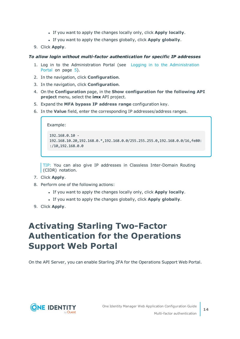- <sup>l</sup> If you want to apply the changes locally only, click **Apply locally**.
- <sup>l</sup> If you want to apply the changes globally, click **Apply globally**.
- 9. Click **Apply**.

### <span id="page-13-1"></span>*To allow login without multi-factor authentication for specific IP addresses*

- 1. Log in to the Administration Portal (see Logging in to the [Administration](#page-4-1) [Portal](#page-4-1) on page 5).
- 2. In the navigation, click **Configuration**.
- 3. In the navigation, click **Configuration**.
- 4. On the **Configuration** page, in the **Show configuration for the following API project** menu, select the **imx** API project.
- 5. Expand the **MFA bypass IP address range** configuration key.
- 6. In the **Value** field, enter the corresponding IP addresses/address ranges.

```
Example:
192.168.0.10 -
192.168.10.20,192.168.0.*,192.168.0.0/255.255.255.0,192.168.0.0/16,fe80:
:/10,192.168.0.0
```
TIP: You can also give IP addresses in Classless Inter-Domain Routing (CIDR) notation.

- 7. Click **Apply**.
- 8. Perform one of the following actions:
	- <sup>l</sup> If you want to apply the changes locally only, click **Apply locally**.
	- <sup>l</sup> If you want to apply the changes globally, click **Apply globally**.
- <span id="page-13-0"></span>9. Click **Apply**.

## **Activating Starling Two-Factor Authentication for the Operations Support Web Portal**

On the API Server, you can enable Starling 2FA for the Operations Support Web Portal.

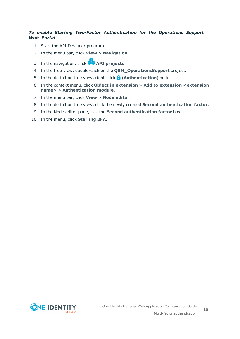### *To enable Starling Two-Factor Authentication for the Operations Support Web Portal*

- 1. Start the API Designer program.
- 2. In the menu bar, click **View** > **Navigation**.
- 3. In the navigation, click **API projects**.
- 4. In the tree view, double-click on the **QBM\_OperationsSupport** project.
- 5. In the definition tree view, right-click **b** (**Authentication**) node.
- 6. In the context menu, click **Object in extension** > **Add to extension <extension name>** > **Authentication module**.
- 7. In the menu bar, click **View** > **Node editor**.
- 8. In the definition tree view, click the newly created **Second authentication factor**.
- 9. In the Node editor pane, tick the **Second authentication factor** box.
- 10. In the menu, click **Starling 2FA**.

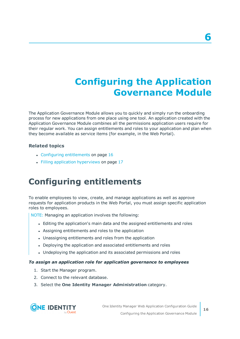# **Configuring the Application Governance Module**

<span id="page-15-0"></span>The Application Governance Module allows you to quickly and simply run the onboarding process for new applications from one place using one tool. An application created with the Application Governance Module combines all the permissions application users require for their regular work. You can assign entitlements and roles to your application and plan when they become available as service items (for example, in the Web Portal).

### **Related topics**

- Configuring [entitlements](#page-15-1) on page 16
- $\cdot$  Filling application [hyperviews](#page-16-0) on page 17

## <span id="page-15-1"></span>**Configuring entitlements**

To enable employees to view, create, and manage applications as well as approve requests for application products in the Web Portal, you must assign specific application roles to employees.

NOTE: Managing an application involves the following:

- <sup>l</sup> Editing the application's main data and the assigned entitlements and roles
- Assigning entitlements and roles to the application
- Unassigning entitlements and roles from the application
- Deploying the application and associated entitlements and roles
- Undeploying the application and its associated permissions and roles

#### *To assign an application role for application governance to employees*

- 1. Start the Manager program.
- 2. Connect to the relevant database.
- 3. Select the **One Identity Manager Administration** category.

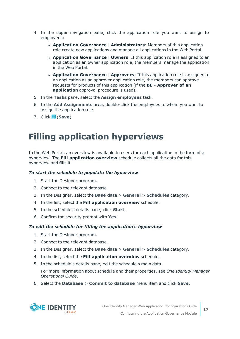- 4. In the upper navigation pane, click the application role you want to assign to employees:
	- <sup>l</sup> **Application Governance** | **Administrators**: Members of this application role create new applications and manage all applications in the Web Portal.
	- <sup>l</sup> **Application Governance** | **Owners**: If this application role is assigned to an application as an owner application role, the members manage the application in the Web Portal.
	- <sup>l</sup> **Application Governance** | **Approvers**: If this application role is assigned to an application as an approver application role, the members can approve requests for products of this application (if the **BE - Approver of an application** approval procedure is used).
- 5. In the **Tasks** pane, select the **Assign employees** task.
- 6. In the **Add Assignments** area, double-click the employees to whom you want to assign the application role.
- <span id="page-16-0"></span>7. Click (**Save**).

## **Filling application hyperviews**

In the Web Portal, an overview is available to users for each application in the form of a hyperview. The **Fill application overview** schedule collects all the data for this hyperview and fills it.

### *To start the schedule to populate the hyperview*

- 1. Start the Designer program.
- 2. Connect to the relevant database.
- 3. In the Designer, select the **Base data** > **General** > **Schedules** category.
- 4. In the list, select the **Fill application overview** schedule.
- 5. In the schedule's details pane, click **Start**.
- 6. Confirm the security prompt with **Yes**.

#### *To edit the schedule for filling the application's hyperview*

- 1. Start the Designer program.
- 2. Connect to the relevant database.
- 3. In the Designer, select the **Base data** > **General** > **Schedules** category.
- 4. In the list, select the **Fill application overview** schedule.
- 5. In the schedule's details pane, edit the schedule's main data.

For more information about schedule and their properties, see *One Identity Manager Operational Guide*.

6. Select the **Database** > **Commit to database** menu item and click **Save**.

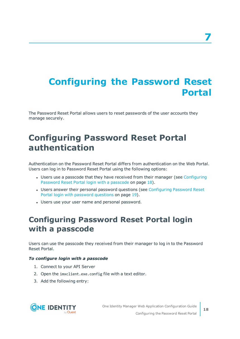# <span id="page-17-0"></span>**Configuring the Password Reset Portal**

The Password Reset Portal allows users to reset passwords of the user accounts they manage securely.

## <span id="page-17-1"></span>**Configuring Password Reset Portal authentication**

Authentication on the Password Reset Portal differs from authentication on the Web Portal. Users can log in to Password Reset Portal using the following options:

- Users use a passcode that they have received from their manager (see [Configuring](#page-17-2) [Password](#page-17-2) Reset Portal login with a passcode on page 18).
- Users answer their personal password questions (see [Configuring](#page-18-0) Password Reset Portal login with [password](#page-18-0) questions on page 19).
- Users use your user name and personal password.

## <span id="page-17-2"></span>**Configuring Password Reset Portal login with a passcode**

Users can use the passcode they received from their manager to log in to the Password Reset Portal.

### *To configure login with a passcode*

- 1. Connect to your API Server
- 2. Open the imxclient.exe.config file with a text editor.
- 3. Add the following entry:

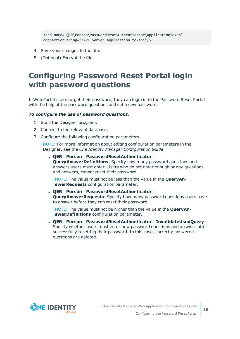<add name="QER\Person\PasswordResetAuthenticator\ApplicationToken" connectionString="<API Server application token>"/>

- 4. Save your changes to the file.
- <span id="page-18-0"></span>5. (Optional) Encrypt the file.

## **Configuring Password Reset Portal login with password questions**

If Web Portal users forget their password, they can login in to the Password Reset Portal with the help of the password questions and set a new password.

#### *To configure the use of password questions.*

- 1. Start the Designer program.
- 2. Connect to the relevant database.
- 3. Configure the following configuration parameters:

NOTE: For more information about editing configuration parameters in the Designer, see the *One Identity Manager Configuration Guide*.

<sup>l</sup> **QER** | **Person** | **PasswordResetAuthenticator** | **QueryAnswerDefinitions**: Specify how many password questions and answers users must enter. Users who do not enter enough or any questions and answers, cannot reset their password.

NOTE: The value must not be less than the value in the **QueryAnswerRequests** configuration parameter.

<sup>l</sup> **QER** | **Person** | **PasswordResetAuthenticator** | **QueryAnswerRequests**: Specify how many password questions users have to answer before they can reset their password.

NOTE: The value must not be higher than the value in the **QueryAnswerDefinitions** configuration parameter.

<sup>l</sup> **QER** | **Person** | **PasswordResetAuthenticator** | **InvalidateUsedQuery**: Specify whether users must enter new password questions and answers after successfully resetting their password. In this case, correctly answered questions are deleted.

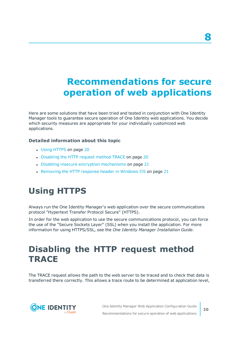# <span id="page-19-0"></span>**Recommendations for secure operation of web applications**

Here are some solutions that have been tried and tested in conjunction with One Identity Manager tools to guarantee secure operation of One Identity web applications. You decide which security measures are appropriate for your individually customized web applications.

### **Detailed information about this topic**

- Using [HTTPS](#page-19-1) on page 20
- [Disabling](#page-19-2) the HTTP request method TRACE on page 20
- Disabling insecure encryption [mechanisms](#page-20-0) on page 21
- [Removing](#page-20-1) the HTTP response header in Windows IIS on page 21

## <span id="page-19-1"></span>**Using HTTPS**

Always run the One Identity Manager's web application over the secure communications protocol "Hypertext Transfer Protocol Secure" (HTTPS).

In order for the web application to use the secure communications protocol, you can force the use of the "Secure Sockets Layer" (SSL) when you install the application. For more information for using HTTPS/SSL, see the *One Identity Manager Installation Guide*.

## <span id="page-19-2"></span>**Disabling the HTTP request method TRACE**

The TRACE request allows the path to the web server to be traced and to check that data is transferred there correctly. This allows a trace route to be determined at application level,



**8**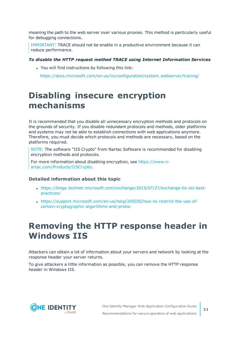meaning the path to the web server over various proxies. This method is particularly useful for debugging connections.

IMPORTANT: TRACE should not be enable in a productive environment because it can reduce performance.

#### *To disable the HTTP request method TRACE using Internet Information Services*

- You will find instructions by following this link:
	- <https://docs.microsoft.com/en-us/iis/configuration/system.webserver/tracing/>

## <span id="page-20-0"></span>**Disabling insecure encryption mechanisms**

It is recommended that you disable all unnecessary encryption methods and protocols on the grounds of security. If you disable redundant protocols and methods, older platforms and systems may not be able to establish connections with web applications anymore. Therefore, you must decide which protocols and methods are necessary, based on the platforms required.

NOTE: The software "IIS Crypto" from Nartac Software is recommended for disabling encryption methods and protocols.

For more information about disabling encryption, see [https://www.n](https://www.nartac.com/Products/IISCrypto)[artac.com/Products/IISCrypto](https://www.nartac.com/Products/IISCrypto).

### **Detailed information about this topic**

- <sup>l</sup> [https://blogs.technet.microsoft.com/exchange/2015/07/27/exchange-tls-ssl-best](https://blogs.technet.microsoft.com/exchange/2015/07/27/exchange-tls-ssl-best-practices/)[practices/](https://blogs.technet.microsoft.com/exchange/2015/07/27/exchange-tls-ssl-best-practices/)
- <sup>l</sup> [https://support.microsoft.com/en-us/help/245030/how-to-restrict-the-use-of](https://support.microsoft.com/en-us/help/245030/how-to-restrict-the-use-of-certain-cryptographic-algorithms-and-protoc)[certain-cryptographic-algorithms-and-protoc](https://support.microsoft.com/en-us/help/245030/how-to-restrict-the-use-of-certain-cryptographic-algorithms-and-protoc)

## <span id="page-20-1"></span>**Removing the HTTP response header in Windows IIS**

Attackers can obtain a lot of information about your servers and network by looking at the response header your server returns.

To give attackers a little information as possible, you can remove the HTTP response header in Windows IIS.

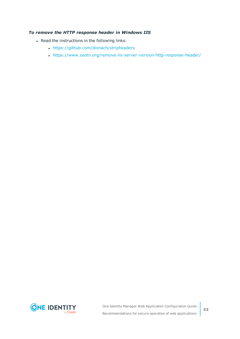### *To remove the HTTP response header in Windows IIS*

- Read the instructions in the following links:
	- <https://github.com/dionach/stripheaders>
	- . <https://www.saotn.org/remove-iis-server-version-http-response-header/>